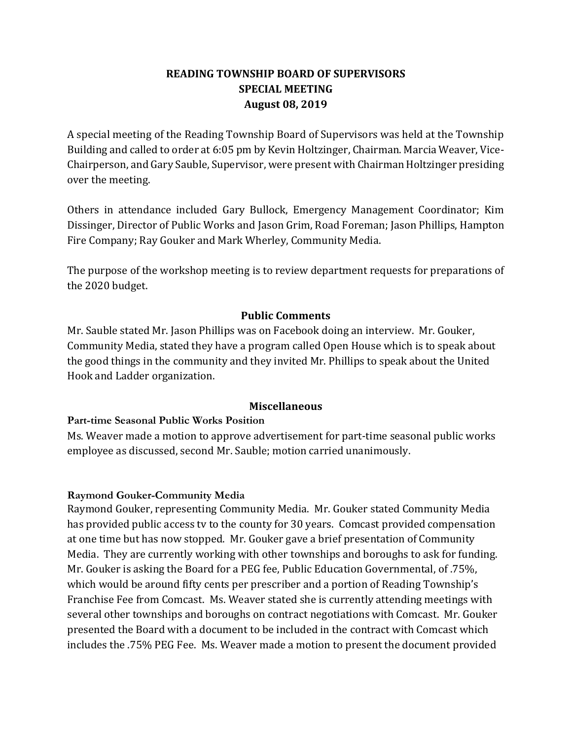# **READING TOWNSHIP BOARD OF SUPERVISORS SPECIAL MEETING August 08, 2019**

A special meeting of the Reading Township Board of Supervisors was held at the Township Building and called to order at 6:05 pm by Kevin Holtzinger, Chairman. Marcia Weaver, Vice-Chairperson, and Gary Sauble, Supervisor, were present with Chairman Holtzinger presiding over the meeting.

Others in attendance included Gary Bullock, Emergency Management Coordinator; Kim Dissinger, Director of Public Works and Jason Grim, Road Foreman; Jason Phillips, Hampton Fire Company; Ray Gouker and Mark Wherley, Community Media.

The purpose of the workshop meeting is to review department requests for preparations of the 2020 budget.

# **Public Comments**

Mr. Sauble stated Mr. Jason Phillips was on Facebook doing an interview. Mr. Gouker, Community Media, stated they have a program called Open House which is to speak about the good things in the community and they invited Mr. Phillips to speak about the United Hook and Ladder organization.

# **Miscellaneous**

# **Part-time Seasonal Public Works Position**

Ms. Weaver made a motion to approve advertisement for part-time seasonal public works employee as discussed, second Mr. Sauble; motion carried unanimously.

# **Raymond Gouker-Community Media**

Raymond Gouker, representing Community Media. Mr. Gouker stated Community Media has provided public access tv to the county for 30 years. Comcast provided compensation at one time but has now stopped. Mr. Gouker gave a brief presentation of Community Media. They are currently working with other townships and boroughs to ask for funding. Mr. Gouker is asking the Board for a PEG fee, Public Education Governmental, of .75%, which would be around fifty cents per prescriber and a portion of Reading Township's Franchise Fee from Comcast. Ms. Weaver stated she is currently attending meetings with several other townships and boroughs on contract negotiations with Comcast. Mr. Gouker presented the Board with a document to be included in the contract with Comcast which includes the .75% PEG Fee. Ms. Weaver made a motion to present the document provided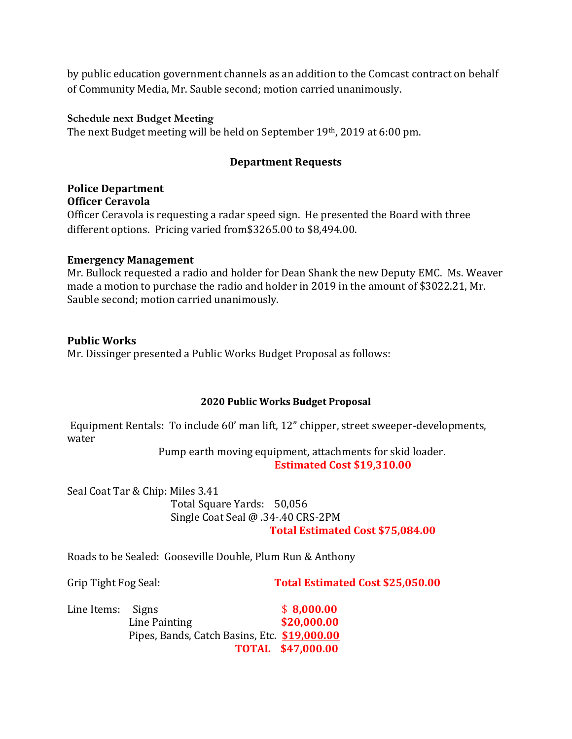by public education government channels as an addition to the Comcast contract on behalf of Community Media, Mr. Sauble second; motion carried unanimously.

### **Schedule next Budget Meeting**

The next Budget meeting will be held on September 19th, 2019 at 6:00 pm.

# **Department Requests**

### **Police Department Officer Ceravola**

Officer Ceravola is requesting a radar speed sign. He presented the Board with three different options. Pricing varied from\$3265.00 to \$8,494.00.

### **Emergency Management**

Mr. Bullock requested a radio and holder for Dean Shank the new Deputy EMC. Ms. Weaver made a motion to purchase the radio and holder in 2019 in the amount of \$3022.21, Mr. Sauble second; motion carried unanimously.

### **Public Works**

Mr. Dissinger presented a Public Works Budget Proposal as follows:

#### **2020 Public Works Budget Proposal**

Equipment Rentals: To include 60' man lift, 12" chipper, street sweeper-developments, water

> Pump earth moving equipment, attachments for skid loader.  **Estimated Cost \$19,310.00**

Seal Coat Tar & Chip: Miles 3.41 Total Square Yards: 50,056 Single Coat Seal @ .34-.40 CRS-2PM **Total Estimated Cost \$75,084.00**

Roads to be Sealed: Gooseville Double, Plum Run & Anthony

Grip Tight Fog Seal: **Total Estimated Cost \$25,050.00**

| Line Items: Signs |                                              | \$8,000.00               |
|-------------------|----------------------------------------------|--------------------------|
|                   | Line Painting                                | \$20,000.00              |
|                   | Pipes, Bands, Catch Basins, Etc. \$19,000.00 |                          |
|                   |                                              | <b>TOTAL \$47,000.00</b> |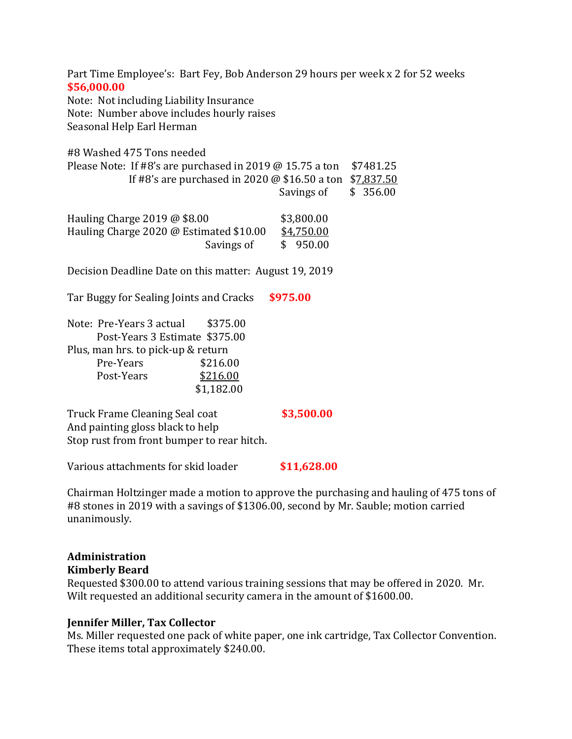Part Time Employee's: Bart Fey, Bob Anderson 29 hours per week x 2 for 52 weeks **\$56,000.00** Note: Not including Liability Insurance Note: Number above includes hourly raises Seasonal Help Earl Herman #8 Washed 475 Tons needed Please Note: If  $#8$ 's are purchased in 2019 @ 15.75 a ton \$7481.25 If #8's are purchased in 2020 @ \$16.50 a ton \$7,837.50 Savings of \$ 356.00 Hauling Charge 2019 @ \$8.00 \$3,800.00 Hauling Charge 2020 @ Estimated \$10.00 \$4,750.00 Savings of  $\qquad$  \$ 950.00 Decision Deadline Date on this matter: August 19, 2019 Tar Buggy for Sealing Joints and Cracks **\$975.00** Note: Pre-Years 3 actual \$375.00 Post-Years 3 Estimate \$375.00 Plus, man hrs. to pick-up & return Pre-Years \$216.00 Post-Years \$216.00 \$1,182.00

Truck Frame Cleaning Seal coat **\$3,500.00** And painting gloss black to help Stop rust from front bumper to rear hitch.

Various attachments for skid loader **\$11,628.00**

Chairman Holtzinger made a motion to approve the purchasing and hauling of 475 tons of #8 stones in 2019 with a savings of \$1306.00, second by Mr. Sauble; motion carried unanimously.

#### **Administration Kimberly Beard**

Requested \$300.00 to attend various training sessions that may be offered in 2020. Mr. Wilt requested an additional security camera in the amount of \$1600.00.

# **Jennifer Miller, Tax Collector**

Ms. Miller requested one pack of white paper, one ink cartridge, Tax Collector Convention. These items total approximately \$240.00.